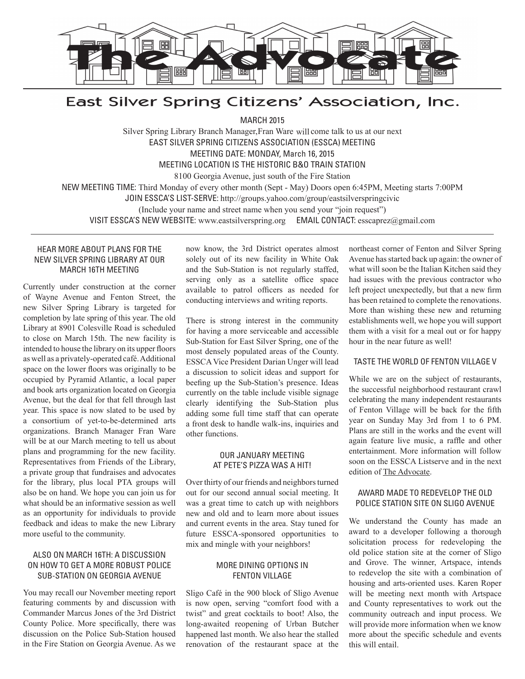

# East Silver Spring Citizens' Association, Inc.

MARCH 2015

Silver Spring Library Branch Manager, Fran Ware will come talk to us at our next EAST SILVER SPRING CITIZENS ASSOCIATION (ESSCA) MEETING MEETING DATE: MONDAY, March 16, 2015 MEETING LOCATION IS THE HISTORIC B&O TRAIN STATION 8100 Georgia Avenue, just south of the Fire Station NEW MEETING TIME: Third Monday of every other month (Sept - May) Doors open 6:45PM, Meeting starts 7:00PM JOIN ESSCA'S LIST-SERVE: http://groups.yahoo.com/group/eastsilverspringcivic (Include your name and street name when you send your "join request")

VISIT ESSCA'S NEW WEBSITE: www.eastsilverspring.org EMAIL CONTACT: esscaprez@gmail.com

#### HEAR MORE ABOUT PLANS FOR THE NEW SILVER SPRING LIBRARY AT OUR MARCH 16TH MEETING

Currently under construction at the corner of Wayne Avenue and Fenton Street, the new Silver Spring Library is targeted for completion by late spring of this year. The old Library at 8901 Colesville Road is scheduled to close on March 15th. The new facility is intended to house the library on its upper floors as well as a privately-operated café. Additional space on the lower floors was originally to be occupied by Pyramid Atlantic, a local paper and book arts organization located on Georgia Avenue, but the deal for that fell through last year. This space is now slated to be used by a consortium of yet-to-be-determined arts organizations. Branch Manager Fran Ware will be at our March meeting to tell us about plans and programming for the new facility. Representatives from Friends of the Library, a private group that fundraises and advocates for the library, plus local PTA groups will also be on hand. We hope you can join us for what should be an informative session as well as an opportunity for individuals to provide feedback and ideas to make the new Library more useful to the community.

#### ALSO ON MARCH 16TH: A DISCUSSION ON HOW TO GET A MORE ROBUST POLICE SUB-STATION ON GEORGIA AVENUE

You may recall our November meeting report featuring comments by and discussion with Commander Marcus Jones of the 3rd District County Police. More specifically, there was discussion on the Police Sub-Station housed in the Fire Station on Georgia Avenue. As we

now know, the 3rd District operates almost solely out of its new facility in White Oak and the Sub-Station is not regularly staffed, serving only as a satellite office space available to patrol officers as needed for conducting interviews and writing reports.

There is strong interest in the community for having a more serviceable and accessible Sub-Station for East Silver Spring, one of the most densely populated areas of the County. ESSCA Vice President Darian Unger will lead a discussion to solicit ideas and support for beefing up the Sub-Station's presence. Ideas currently on the table include visible signage clearly identifying the Sub-Station plus adding some full time staff that can operate a front desk to handle walk-ins, inquiries and other functions.

#### OUR JANUARY MEETING AT PETE'S PIZZA WAS A HIT!

Over thirty of our friends and neighbors turned out for our second annual social meeting. It was a great time to catch up with neighbors new and old and to learn more about issues and current events in the area. Stay tuned for future ESSCA-sponsored opportunities to mix and mingle with your neighbors!

#### MORE DINING OPTIONS IN FENTON VILLAGE

Sligo Café in the 900 block of Sligo Avenue is now open, serving "comfort food with a twist" and great cocktails to boot! Also, the long-awaited reopening of Urban Butcher happened last month. We also hear the stalled renovation of the restaurant space at the northeast corner of Fenton and Silver Spring Avenue has started back up again: the owner of what will soon be the Italian Kitchen said they had issues with the previous contractor who left project unexpectedly, but that a new firm has been retained to complete the renovations. More than wishing these new and returning establishments well, we hope you will support them with a visit for a meal out or for happy hour in the near future as well!

#### TASTE THE WORLD OF FENTON VILLAGE V

While we are on the subject of restaurants, the successful neighborhood restaurant crawl celebrating the many independent restaurants of Fenton Village will be back for the fifth year on Sunday May 3rd from 1 to 6 PM. Plans are still in the works and the event will again feature live music, a raffle and other entertainment. More information will follow soon on the ESSCA Listserve and in the next edition of The Advocate.

#### AWARD MADE TO REDEVELOP THE OLD POLICE STATION SITE ON SLIGO AVENUE

We understand the County has made an award to a developer following a thorough solicitation process for redeveloping the old police station site at the corner of Sligo and Grove. The winner, Artspace, intends to redevelop the site with a combination of housing and arts-oriented uses. Karen Roper will be meeting next month with Artspace and County representatives to work out the community outreach and input process. We will provide more information when we know more about the specific schedule and events this will entail.